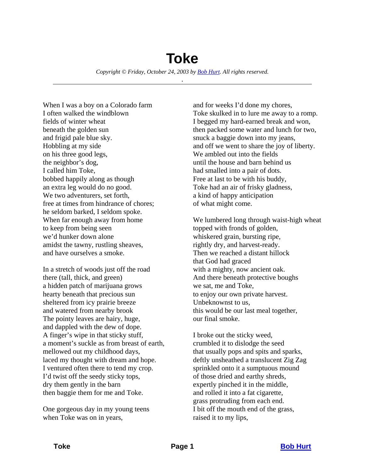## **Toke**

*Copyright © Friday, October 24, 2003 by [Bob Hurt.](http://bobhurt.com/) All rights reserved.*  .

When I was a boy on a Colorado farm I often walked the windblown fields of winter wheat beneath the golden sun and frigid pale blue sky. Hobbling at my side on his three good legs, the neighbor's dog, I called him Toke, bobbed happily along as though an extra leg would do no good. We two adventurers, set forth, free at times from hindrance of chores; he seldom barked, I seldom spoke. When far enough away from home to keep from being seen we'd hunker down alone amidst the tawny, rustling sheaves, and have ourselves a smoke.

In a stretch of woods just off the road there (tall, thick, and green) a hidden patch of marijuana grows hearty beneath that precious sun sheltered from icy prairie breeze and watered from nearby brook The pointy leaves are hairy, huge, and dappled with the dew of dope. A finger's wipe in that sticky stuff, a moment's suckle as from breast of earth, mellowed out my childhood days, laced my thought with dream and hope. I ventured often there to tend my crop. I'd twist off the seedy sticky tops, dry them gently in the barn then baggie them for me and Toke.

One gorgeous day in my young teens when Toke was on in years,

and for weeks I'd done my chores, Toke skulked in to lure me away to a romp. I begged my hard-earned break and won, then packed some water and lunch for two, snuck a baggie down into my jeans, and off we went to share the joy of liberty. We ambled out into the fields until the house and barn behind us had smalled into a pair of dots. Free at last to be with his buddy, Toke had an air of frisky gladness, a kind of happy anticipation of what might come.

We lumbered long through waist-high wheat topped with fronds of golden, whiskered grain, bursting ripe, rightly dry, and harvest-ready. Then we reached a distant hillock that God had graced with a mighty, now ancient oak. And there beneath protective boughs we sat, me and Toke, to enjoy our own private harvest. Unbeknownst to us, this would be our last meal together, our final smoke.

I broke out the sticky weed, crumbled it to dislodge the seed that usually pops and spits and sparks, deftly unsheathed a translucent Zig Zag sprinkled onto it a sumptuous mound of those dried and earthy shreds, expertly pinched it in the middle, and rolled it into a fat cigarette, grass protruding from each end. I bit off the mouth end of the grass, raised it to my lips,